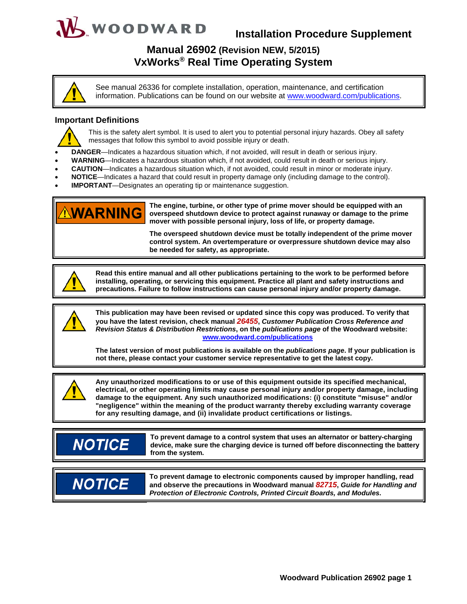# WOODWARD

## **Installation Procedure Supplement**

### **Manual 26902 (Revision NEW, 5/2015) VxWorks® Real Time Operating System**

See manual 26336 for complete installation, operation, maintenance, and certification information. Publications can be found on our website at www.woodward.com/publications.

### **Important Definitions**



This is the safety alert symbol. It is used to alert you to potential personal injury hazards. Obey all safety messages that follow this symbol to avoid possible injury or death.

- **DANGER**—Indicates a hazardous situation which, if not avoided, will result in death or serious injury.
- **WARNING**—Indicates a hazardous situation which, if not avoided, could result in death or serious injury.
- **CAUTION**—Indicates a hazardous situation which, if not avoided, could result in minor or moderate injury.
- **NOTICE**—Indicates a hazard that could result in property damage only (including damage to the control).
- **IMPORTANT**—Designates an operating tip or maintenance suggestion.



**The engine, turbine, or other type of prime mover should be equipped with an overspeed shutdown device to protect against runaway or damage to the prime mover with possible personal injury, loss of life, or property damage.** 

**The overspeed shutdown device must be totally independent of the prime mover control system. An overtemperature or overpressure shutdown device may also be needed for safety, as appropriate.**



**Read this entire manual and all other publications pertaining to the work to be performed before installing, operating, or servicing this equipment. Practice all plant and safety instructions and precautions. Failure to follow instructions can cause personal injury and/or property damage.**



**This publication may have been revised or updated since this copy was produced. To verify that you have the latest revision, check manual** *26455***,** *Customer Publication Cross Reference and Revision Status & Distribution Restrictions***, on the** *publications page* **of the Woodward website: www.woodward.com/publications**

**The latest version of most publications is available on the** *publications page***. If your publication is not there, please contact your customer service representative to get the latest copy.**



**Any unauthorized modifications to or use of this equipment outside its specified mechanical, electrical, or other operating limits may cause personal injury and/or property damage, including damage to the equipment. Any such unauthorized modifications: (i) constitute "misuse" and/or "negligence" within the meaning of the product warranty thereby excluding warranty coverage for any resulting damage, and (ii) invalidate product certifications or listings.**

## **NOTICE**

**To prevent damage to a control system that uses an alternator or battery-charging device, make sure the charging device is turned off before disconnecting the battery from the system.** 



**To prevent damage to electronic components caused by improper handling, read and observe the precautions in Woodward manual** *82715***,** *Guide for Handling and Protection of Electronic Controls, Printed Circuit Boards, and Modules***.**